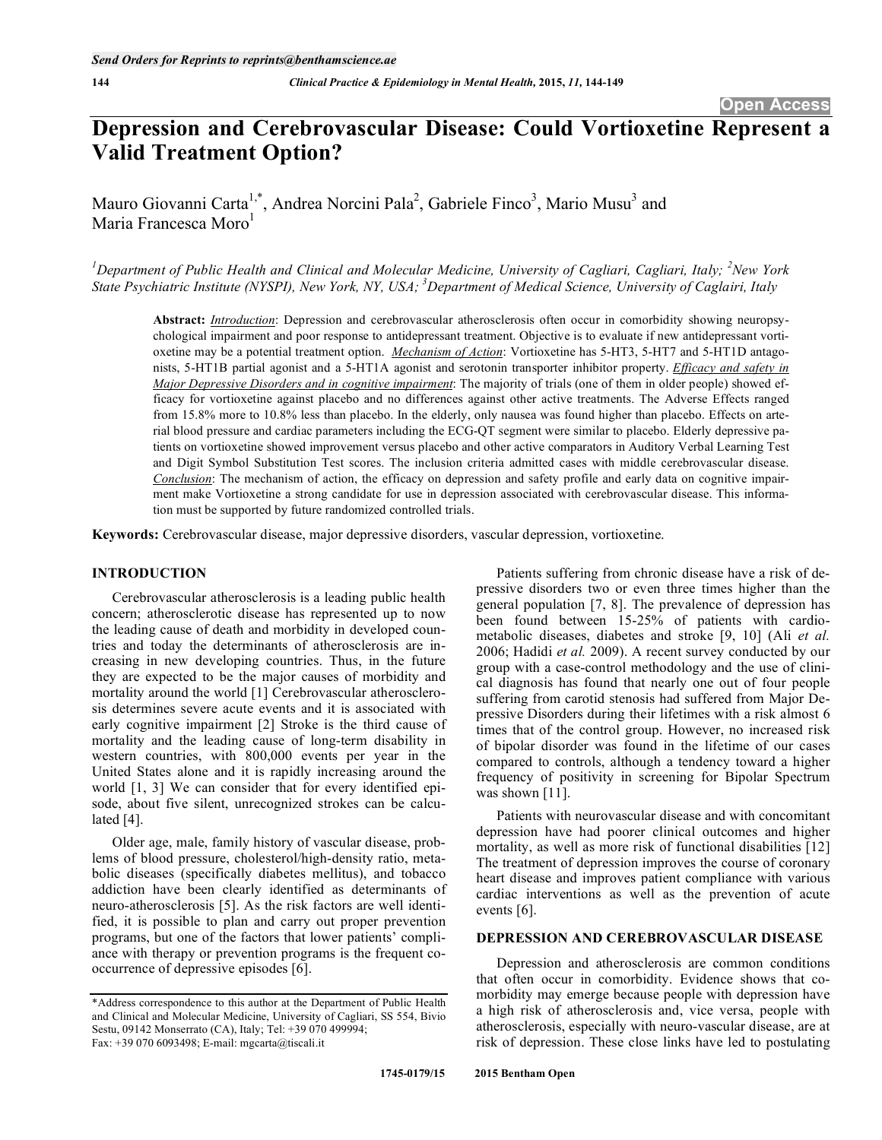# **Depression and Cerebrovascular Disease: Could Vortioxetine Represent a Valid Treatment Option?**

Mauro Giovanni Carta<sup>1,\*</sup>, Andrea Norcini Pala<sup>2</sup>, Gabriele Finco<sup>3</sup>, Mario Musu<sup>3</sup> and Maria Francesca Moro<sup>1</sup>

<sup>1</sup>Department of Public Health and Clinical and Molecular Medicine, University of Cagliari, Cagliari, Italy; <sup>2</sup>New York *State Psychiatric Institute (NYSPI), New York, NY, USA; 3 Department of Medical Science, University of Caglairi, Italy* 

**Abstract:** *Introduction*: Depression and cerebrovascular atherosclerosis often occur in comorbidity showing neuropsychological impairment and poor response to antidepressant treatment. Objective is to evaluate if new antidepressant vortioxetine may be a potential treatment option. *Mechanism of Action*: Vortioxetine has 5-HT3, 5-HT7 and 5-HT1D antagonists, 5-HT1B partial agonist and a 5-HT1A agonist and serotonin transporter inhibitor property. *Efficacy and safety in Major Depressive Disorders and in cognitive impairment*: The majority of trials (one of them in older people) showed efficacy for vortioxetine against placebo and no differences against other active treatments. The Adverse Effects ranged from 15.8% more to 10.8% less than placebo. In the elderly, only nausea was found higher than placebo. Effects on arterial blood pressure and cardiac parameters including the ECG-QT segment were similar to placebo. Elderly depressive patients on vortioxetine showed improvement versus placebo and other active comparators in Auditory Verbal Learning Test and Digit Symbol Substitution Test scores. The inclusion criteria admitted cases with middle cerebrovascular disease. *Conclusion*: The mechanism of action, the efficacy on depression and safety profile and early data on cognitive impairment make Vortioxetine a strong candidate for use in depression associated with cerebrovascular disease. This information must be supported by future randomized controlled trials.

**Keywords:** Cerebrovascular disease, major depressive disorders, vascular depression, vortioxetine.

# **INTRODUCTION**

Cerebrovascular atherosclerosis is a leading public health concern; atherosclerotic disease has represented up to now the leading cause of death and morbidity in developed countries and today the determinants of atherosclerosis are increasing in new developing countries. Thus, in the future they are expected to be the major causes of morbidity and mortality around the world [1] Cerebrovascular atherosclerosis determines severe acute events and it is associated with early cognitive impairment [2] Stroke is the third cause of mortality and the leading cause of long-term disability in western countries, with 800,000 events per year in the United States alone and it is rapidly increasing around the world [1, 3] We can consider that for every identified episode, about five silent, unrecognized strokes can be calculated [4].

Older age, male, family history of vascular disease, problems of blood pressure, cholesterol/high-density ratio, metabolic diseases (specifically diabetes mellitus), and tobacco addiction have been clearly identified as determinants of neuro-atherosclerosis [5]. As the risk factors are well identified, it is possible to plan and carry out proper prevention programs, but one of the factors that lower patients' compliance with therapy or prevention programs is the frequent cooccurrence of depressive episodes [6].

Patients suffering from chronic disease have a risk of depressive disorders two or even three times higher than the general population [7, 8]. The prevalence of depression has been found between 15-25% of patients with cardiometabolic diseases, diabetes and stroke [9, 10] (Ali *et al.* 2006; Hadidi *et al.* 2009). A recent survey conducted by our group with a case-control methodology and the use of clinical diagnosis has found that nearly one out of four people suffering from carotid stenosis had suffered from Major Depressive Disorders during their lifetimes with a risk almost 6 times that of the control group. However, no increased risk of bipolar disorder was found in the lifetime of our cases compared to controls, although a tendency toward a higher frequency of positivity in screening for Bipolar Spectrum was shown [11].

Patients with neurovascular disease and with concomitant depression have had poorer clinical outcomes and higher mortality, as well as more risk of functional disabilities [12] The treatment of depression improves the course of coronary heart disease and improves patient compliance with various cardiac interventions as well as the prevention of acute events [6].

# **DEPRESSION AND CEREBROVASCULAR DISEASE**

Depression and atherosclerosis are common conditions that often occur in comorbidity. Evidence shows that comorbidity may emerge because people with depression have a high risk of atherosclerosis and, vice versa, people with atherosclerosis, especially with neuro-vascular disease, are at risk of depression. These close links have led to postulating

<sup>\*</sup>Address correspondence to this author at the Department of Public Health and Clinical and Molecular Medicine, University of Cagliari, SS 554, Bivio Sestu, 09142 Monserrato (CA), Italy; Tel: +39 070 499994; Fax: +39 070 6093498; E-mail: mgcarta@tiscali.it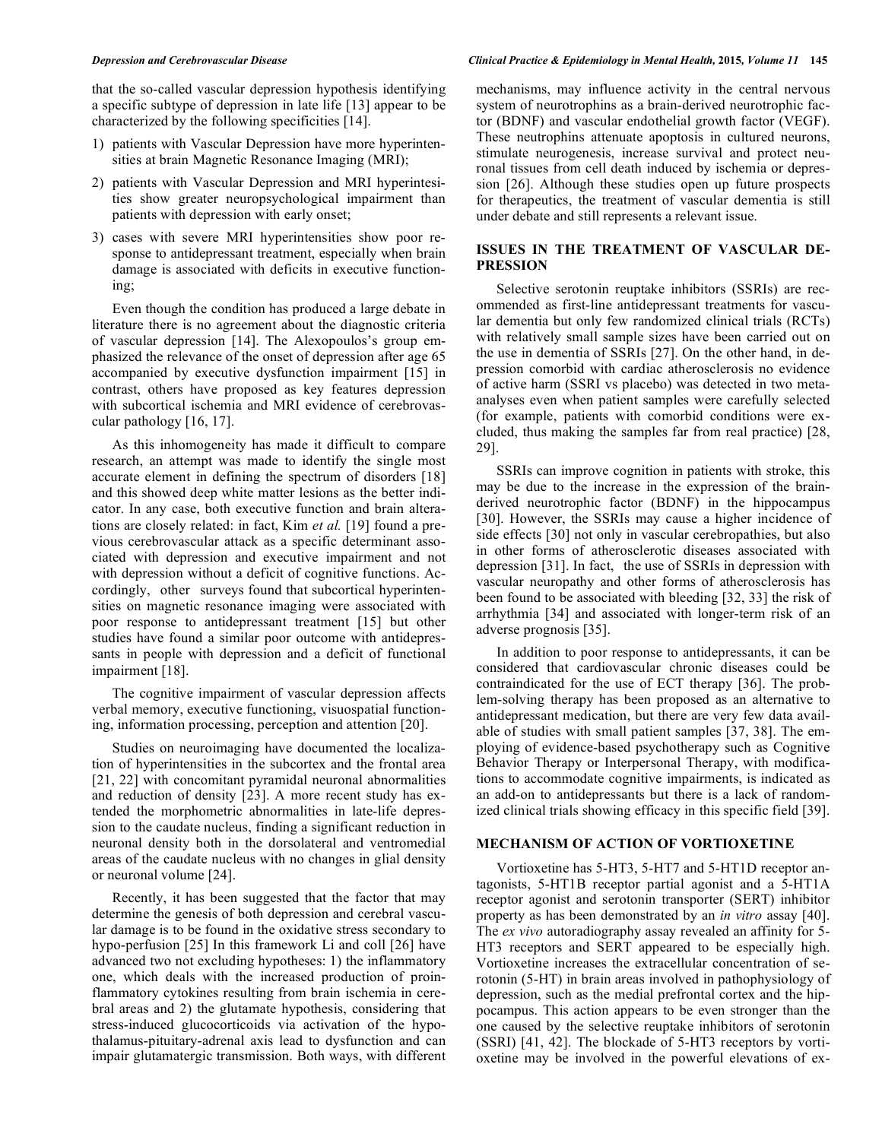that the so-called vascular depression hypothesis identifying a specific subtype of depression in late life [13] appear to be characterized by the following specificities [14].

- 1) patients with Vascular Depression have more hyperintensities at brain Magnetic Resonance Imaging (MRI);
- 2) patients with Vascular Depression and MRI hyperintesities show greater neuropsychological impairment than patients with depression with early onset;
- 3) cases with severe MRI hyperintensities show poor response to antidepressant treatment, especially when brain damage is associated with deficits in executive functioning;

Even though the condition has produced a large debate in literature there is no agreement about the diagnostic criteria of vascular depression [14]. The Alexopoulos's group emphasized the relevance of the onset of depression after age 65 accompanied by executive dysfunction impairment [15] in contrast, others have proposed as key features depression with subcortical ischemia and MRI evidence of cerebrovascular pathology [16, 17].

As this inhomogeneity has made it difficult to compare research, an attempt was made to identify the single most accurate element in defining the spectrum of disorders [18] and this showed deep white matter lesions as the better indicator. In any case, both executive function and brain alterations are closely related: in fact, Kim *et al.* [19] found a previous cerebrovascular attack as a specific determinant associated with depression and executive impairment and not with depression without a deficit of cognitive functions. Accordingly, other surveys found that subcortical hyperintensities on magnetic resonance imaging were associated with poor response to antidepressant treatment [15] but other studies have found a similar poor outcome with antidepressants in people with depression and a deficit of functional impairment [18].

The cognitive impairment of vascular depression affects verbal memory, executive functioning, visuospatial functioning, information processing, perception and attention [20].

Studies on neuroimaging have documented the localization of hyperintensities in the subcortex and the frontal area [21, 22] with concomitant pyramidal neuronal abnormalities and reduction of density [23]. A more recent study has extended the morphometric abnormalities in late-life depression to the caudate nucleus, finding a significant reduction in neuronal density both in the dorsolateral and ventromedial areas of the caudate nucleus with no changes in glial density or neuronal volume [24].

Recently, it has been suggested that the factor that may determine the genesis of both depression and cerebral vascular damage is to be found in the oxidative stress secondary to hypo-perfusion [25] In this framework Li and coll [26] have advanced two not excluding hypotheses: 1) the inflammatory one, which deals with the increased production of proinflammatory cytokines resulting from brain ischemia in cerebral areas and 2) the glutamate hypothesis, considering that stress-induced glucocorticoids via activation of the hypothalamus-pituitary-adrenal axis lead to dysfunction and can impair glutamatergic transmission. Both ways, with different

### *Depression and Cerebrovascular Disease Clinical Practice & Epidemiology in Mental Health,* **2015***, Volume 11* **145**

mechanisms, may influence activity in the central nervous system of neurotrophins as a brain-derived neurotrophic factor (BDNF) and vascular endothelial growth factor (VEGF). These neutrophins attenuate apoptosis in cultured neurons, stimulate neurogenesis, increase survival and protect neuronal tissues from cell death induced by ischemia or depression [26]. Although these studies open up future prospects for therapeutics, the treatment of vascular dementia is still under debate and still represents a relevant issue.

# **ISSUES IN THE TREATMENT OF VASCULAR DE-PRESSION**

Selective serotonin reuptake inhibitors (SSRIs) are recommended as first-line antidepressant treatments for vascular dementia but only few randomized clinical trials (RCTs) with relatively small sample sizes have been carried out on the use in dementia of SSRIs [27]. On the other hand, in depression comorbid with cardiac atherosclerosis no evidence of active harm (SSRI vs placebo) was detected in two metaanalyses even when patient samples were carefully selected (for example, patients with comorbid conditions were excluded, thus making the samples far from real practice) [28, 29].

SSRIs can improve cognition in patients with stroke, this may be due to the increase in the expression of the brainderived neurotrophic factor (BDNF) in the hippocampus [30]. However, the SSRIs may cause a higher incidence of side effects [30] not only in vascular cerebropathies, but also in other forms of atherosclerotic diseases associated with depression [31]. In fact, the use of SSRIs in depression with vascular neuropathy and other forms of atherosclerosis has been found to be associated with bleeding [32, 33] the risk of arrhythmia [34] and associated with longer-term risk of an adverse prognosis [35].

In addition to poor response to antidepressants, it can be considered that cardiovascular chronic diseases could be contraindicated for the use of ECT therapy [36]. The problem-solving therapy has been proposed as an alternative to antidepressant medication, but there are very few data available of studies with small patient samples [37, 38]. The employing of evidence-based psychotherapy such as Cognitive Behavior Therapy or Interpersonal Therapy, with modifications to accommodate cognitive impairments, is indicated as an add-on to antidepressants but there is a lack of randomized clinical trials showing efficacy in this specific field [39].

# **MECHANISM OF ACTION OF VORTIOXETINE**

Vortioxetine has 5-HT3, 5-HT7 and 5-HT1D receptor antagonists, 5-HT1B receptor partial agonist and a 5-HT1A receptor agonist and serotonin transporter (SERT) inhibitor property as has been demonstrated by an *in vitro* assay [40]. The *ex vivo* autoradiography assay revealed an affinity for 5- HT3 receptors and SERT appeared to be especially high. Vortioxetine increases the extracellular concentration of serotonin (5-HT) in brain areas involved in pathophysiology of depression, such as the medial prefrontal cortex and the hippocampus. This action appears to be even stronger than the one caused by the selective reuptake inhibitors of serotonin (SSRI) [41, 42]. The blockade of 5-HT3 receptors by vortioxetine may be involved in the powerful elevations of ex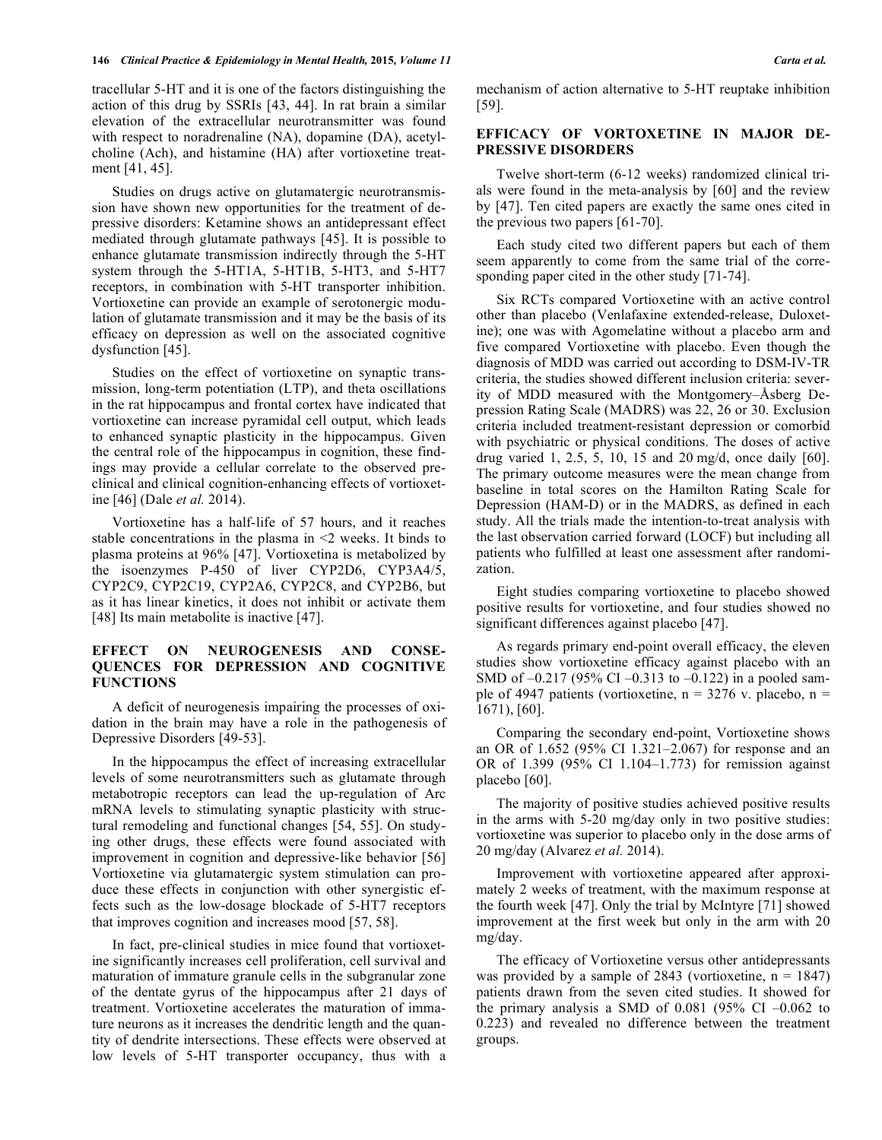tracellular 5-HT and it is one of the factors distinguishing the action of this drug by SSRIs [43, 44]. In rat brain a similar elevation of the extracellular neurotransmitter was found with respect to noradrenaline (NA), dopamine (DA), acetylcholine (Ach), and histamine (HA) after vortioxetine treatment [41, 45].

Studies on drugs active on glutamatergic neurotransmission have shown new opportunities for the treatment of depressive disorders: Ketamine shows an antidepressant effect mediated through glutamate pathways [45]. It is possible to enhance glutamate transmission indirectly through the 5-HT system through the 5-HT1A, 5-HT1B, 5-HT3, and 5-HT7 receptors, in combination with 5-HT transporter inhibition. Vortioxetine can provide an example of serotonergic modulation of glutamate transmission and it may be the basis of its efficacy on depression as well on the associated cognitive dysfunction [45].

Studies on the effect of vortioxetine on synaptic transmission, long-term potentiation (LTP), and theta oscillations in the rat hippocampus and frontal cortex have indicated that vortioxetine can increase pyramidal cell output, which leads to enhanced synaptic plasticity in the hippocampus. Given the central role of the hippocampus in cognition, these findings may provide a cellular correlate to the observed preclinical and clinical cognition-enhancing effects of vortioxetine [46] (Dale *et al.* 2014).

Vortioxetine has a half-life of 57 hours, and it reaches stable concentrations in the plasma in <2 weeks. It binds to plasma proteins at 96% [47]. Vortioxetina is metabolized by the isoenzymes P-450 of liver CYP2D6, CYP3A4/5, CYP2C9, CYP2C19, CYP2A6, CYP2C8, and CYP2B6, but as it has linear kinetics, it does not inhibit or activate them [48] Its main metabolite is inactive [47].

# **EFFECT ON NEUROGENESIS AND CONSE-QUENCES FOR DEPRESSION AND COGNITIVE FUNCTIONS**

A deficit of neurogenesis impairing the processes of oxidation in the brain may have a role in the pathogenesis of Depressive Disorders [49-53].

In the hippocampus the effect of increasing extracellular levels of some neurotransmitters such as glutamate through metabotropic receptors can lead the up-regulation of Arc mRNA levels to stimulating synaptic plasticity with structural remodeling and functional changes [54, 55]. On studying other drugs, these effects were found associated with improvement in cognition and depressive-like behavior [56] Vortioxetine via glutamatergic system stimulation can produce these effects in conjunction with other synergistic effects such as the low-dosage blockade of 5-HT7 receptors that improves cognition and increases mood [57, 58].

In fact, pre-clinical studies in mice found that vortioxetine significantly increases cell proliferation, cell survival and maturation of immature granule cells in the subgranular zone of the dentate gyrus of the hippocampus after 21 days of treatment. Vortioxetine accelerates the maturation of immature neurons as it increases the dendritic length and the quantity of dendrite intersections. These effects were observed at low levels of 5-HT transporter occupancy, thus with a

mechanism of action alternative to 5-HT reuptake inhibition [59].

# **EFFICACY OF VORTOXETINE IN MAJOR DE-PRESSIVE DISORDERS**

Twelve short-term (6-12 weeks) randomized clinical trials were found in the meta-analysis by [60] and the review by [47]. Ten cited papers are exactly the same ones cited in the previous two papers [61-70].

Each study cited two different papers but each of them seem apparently to come from the same trial of the corresponding paper cited in the other study [71-74].

Six RCTs compared Vortioxetine with an active control other than placebo (Venlafaxine extended-release, Duloxetine); one was with Agomelatine without a placebo arm and five compared Vortioxetine with placebo. Even though the diagnosis of MDD was carried out according to DSM-IV-TR criteria, the studies showed different inclusion criteria: severity of MDD measured with the Montgomery–Åsberg Depression Rating Scale (MADRS) was 22, 26 or 30. Exclusion criteria included treatment-resistant depression or comorbid with psychiatric or physical conditions. The doses of active drug varied 1, 2.5, 5, 10, 15 and 20 mg/d, once daily [60]. The primary outcome measures were the mean change from baseline in total scores on the Hamilton Rating Scale for Depression (HAM-D) or in the MADRS, as defined in each study. All the trials made the intention-to-treat analysis with the last observation carried forward (LOCF) but including all patients who fulfilled at least one assessment after randomization.

Eight studies comparing vortioxetine to placebo showed positive results for vortioxetine, and four studies showed no significant differences against placebo [47].

As regards primary end-point overall efficacy, the eleven studies show vortioxetine efficacy against placebo with an SMD of  $-0.217$  (95% CI  $-0.313$  to  $-0.122$ ) in a pooled sample of 4947 patients (vortioxetine,  $n = 3276$  v. placebo,  $n =$ 1671), [60].

Comparing the secondary end-point, Vortioxetine shows an OR of 1.652 (95% CI 1.321–2.067) for response and an OR of 1.399 (95% CI 1.104–1.773) for remission against placebo [60].

The majority of positive studies achieved positive results in the arms with 5-20 mg/day only in two positive studies: vortioxetine was superior to placebo only in the dose arms of 20 mg/day (Alvarez *et al.* 2014).

Improvement with vortioxetine appeared after approximately 2 weeks of treatment, with the maximum response at the fourth week [47]. Only the trial by McIntyre [71] showed improvement at the first week but only in the arm with 20 mg/day.

The efficacy of Vortioxetine versus other antidepressants was provided by a sample of 2843 (vortioxetine,  $n = 1847$ ) patients drawn from the seven cited studies. It showed for the primary analysis a SMD of 0.081 (95% CI  $-0.062$  to 0.223) and revealed no difference between the treatment groups.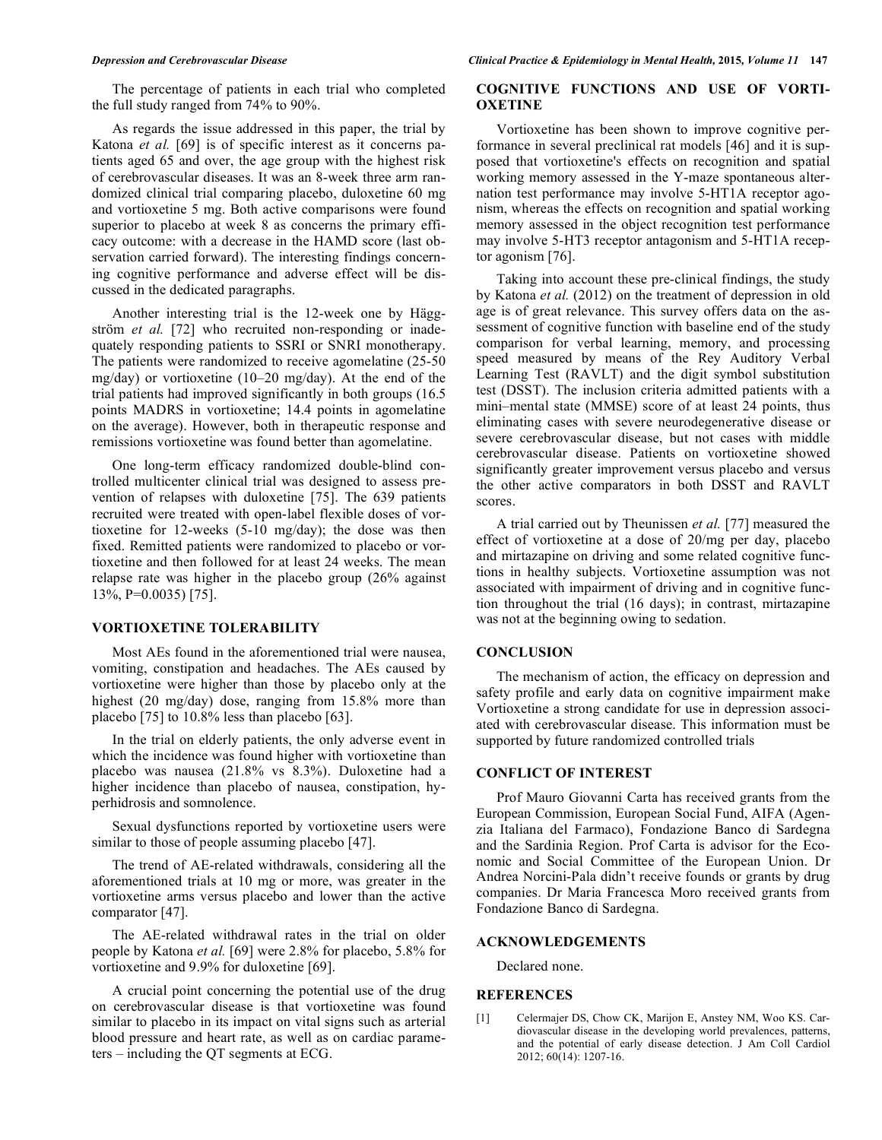The percentage of patients in each trial who completed the full study ranged from 74% to 90%.

As regards the issue addressed in this paper, the trial by Katona *et al.* [69] is of specific interest as it concerns patients aged 65 and over, the age group with the highest risk of cerebrovascular diseases. It was an 8-week three arm randomized clinical trial comparing placebo, duloxetine 60 mg and vortioxetine 5 mg. Both active comparisons were found superior to placebo at week 8 as concerns the primary efficacy outcome: with a decrease in the HAMD score (last observation carried forward). The interesting findings concerning cognitive performance and adverse effect will be discussed in the dedicated paragraphs.

Another interesting trial is the 12-week one by Häggström *et al.* [72] who recruited non-responding or inadequately responding patients to SSRI or SNRI monotherapy. The patients were randomized to receive agomelatine (25-50 mg/day) or vortioxetine (10–20 mg/day). At the end of the trial patients had improved significantly in both groups (16.5 points MADRS in vortioxetine; 14.4 points in agomelatine on the average). However, both in therapeutic response and remissions vortioxetine was found better than agomelatine.

One long-term efficacy randomized double-blind controlled multicenter clinical trial was designed to assess prevention of relapses with duloxetine [75]. The 639 patients recruited were treated with open-label flexible doses of vortioxetine for 12-weeks (5-10 mg/day); the dose was then fixed. Remitted patients were randomized to placebo or vortioxetine and then followed for at least 24 weeks. The mean relapse rate was higher in the placebo group (26% against 13%, P=0.0035) [75].

# **VORTIOXETINE TOLERABILITY**

Most AEs found in the aforementioned trial were nausea, vomiting, constipation and headaches. The AEs caused by vortioxetine were higher than those by placebo only at the highest (20 mg/day) dose, ranging from 15.8% more than placebo [75] to 10.8% less than placebo [63].

In the trial on elderly patients, the only adverse event in which the incidence was found higher with vortioxetine than placebo was nausea (21.8% vs 8.3%). Duloxetine had a higher incidence than placebo of nausea, constipation, hyperhidrosis and somnolence.

Sexual dysfunctions reported by vortioxetine users were similar to those of people assuming placebo [47].

The trend of AE-related withdrawals, considering all the aforementioned trials at 10 mg or more, was greater in the vortioxetine arms versus placebo and lower than the active comparator [47].

The AE-related withdrawal rates in the trial on older people by Katona *et al.* [69] were 2.8% for placebo, 5.8% for vortioxetine and 9.9% for duloxetine [69].

A crucial point concerning the potential use of the drug on cerebrovascular disease is that vortioxetine was found similar to placebo in its impact on vital signs such as arterial blood pressure and heart rate, as well as on cardiac parameters – including the QT segments at ECG.

# **COGNITIVE FUNCTIONS AND USE OF VORTI-OXETINE**

Vortioxetine has been shown to improve cognitive performance in several preclinical rat models [46] and it is supposed that vortioxetine's effects on recognition and spatial working memory assessed in the Y-maze spontaneous alternation test performance may involve 5-HT1A receptor agonism, whereas the effects on recognition and spatial working memory assessed in the object recognition test performance may involve 5-HT3 receptor antagonism and 5-HT1A receptor agonism [76].

Taking into account these pre-clinical findings, the study by Katona *et al.* (2012) on the treatment of depression in old age is of great relevance. This survey offers data on the assessment of cognitive function with baseline end of the study comparison for verbal learning, memory, and processing speed measured by means of the Rey Auditory Verbal Learning Test (RAVLT) and the digit symbol substitution test (DSST). The inclusion criteria admitted patients with a mini–mental state (MMSE) score of at least 24 points, thus eliminating cases with severe neurodegenerative disease or severe cerebrovascular disease, but not cases with middle cerebrovascular disease. Patients on vortioxetine showed significantly greater improvement versus placebo and versus the other active comparators in both DSST and RAVLT scores.

A trial carried out by Theunissen *et al.* [77] measured the effect of vortioxetine at a dose of 20/mg per day, placebo and mirtazapine on driving and some related cognitive functions in healthy subjects. Vortioxetine assumption was not associated with impairment of driving and in cognitive function throughout the trial (16 days); in contrast, mirtazapine was not at the beginning owing to sedation.

# **CONCLUSION**

The mechanism of action, the efficacy on depression and safety profile and early data on cognitive impairment make Vortioxetine a strong candidate for use in depression associated with cerebrovascular disease. This information must be supported by future randomized controlled trials

# **CONFLICT OF INTEREST**

Prof Mauro Giovanni Carta has received grants from the European Commission, European Social Fund, AIFA (Agenzia Italiana del Farmaco), Fondazione Banco di Sardegna and the Sardinia Region. Prof Carta is advisor for the Economic and Social Committee of the European Union. Dr Andrea Norcini-Pala didn't receive founds or grants by drug companies. Dr Maria Francesca Moro received grants from Fondazione Banco di Sardegna.

### **ACKNOWLEDGEMENTS**

Declared none.

### **REFERENCES**

[1] Celermajer DS, Chow CK, Marijon E, Anstey NM, Woo KS. Cardiovascular disease in the developing world prevalences, patterns, and the potential of early disease detection. J Am Coll Cardiol 2012; 60(14): 1207-16.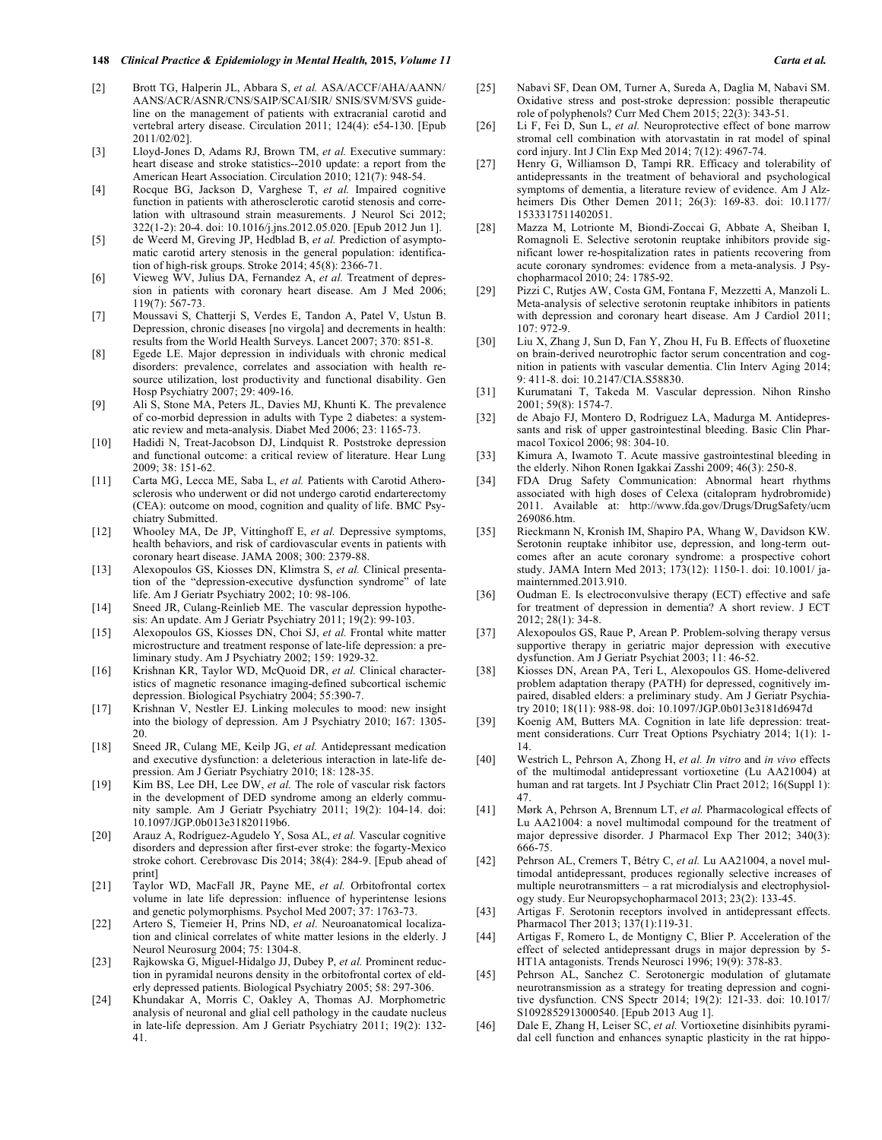### **148** *Clinical Practice & Epidemiology in Mental Health,* **2015***, Volume 11 Carta et al.*

- [2] Brott TG, Halperin JL, Abbara S, *et al.* ASA/ACCF/AHA/AANN/ AANS/ACR/ASNR/CNS/SAIP/SCAI/SIR/ SNIS/SVM/SVS guideline on the management of patients with extracranial carotid and vertebral artery disease. Circulation 2011; 124(4): e54-130. [Epub 2011/02/02].
- [3] Lloyd-Jones D, Adams RJ, Brown TM, et al. Executive summary: heart disease and stroke statistics--2010 update: a report from the American Heart Association. Circulation 2010; 121(7): 948-54.
- [4] Rocque BG, Jackson D, Varghese T, *et al.* Impaired cognitive function in patients with atherosclerotic carotid stenosis and correlation with ultrasound strain measurements. J Neurol Sci 2012; 322(1-2): 20-4. doi: 10.1016/j.jns.2012.05.020. [Epub 2012 Jun 1].
- [5] de Weerd M, Greving JP, Hedblad B, *et al.* Prediction of asymptomatic carotid artery stenosis in the general population: identification of high-risk groups. Stroke 2014; 45(8): 2366-71.
- [6] Vieweg WV, Julius DA, Fernandez A, *et al.* Treatment of depression in patients with coronary heart disease. Am J Med 2006; 119(7): 567-73.
- [7] Moussavi S, Chatterji S, Verdes E, Tandon A, Patel V, Ustun B. Depression, chronic diseases [no virgola] and decrements in health: results from the World Health Surveys. Lancet 2007; 370: 851-8.
- [8] Egede LE. Major depression in individuals with chronic medical disorders: prevalence, correlates and association with health resource utilization, lost productivity and functional disability. Gen Hosp Psychiatry 2007; 29: 409-16.
- [9] Ali S, Stone MA, Peters JL, Davies MJ, Khunti K. The prevalence of co-morbid depression in adults with Type 2 diabetes: a systematic review and meta-analysis. Diabet Med 2006; 23: 1165-73.
- [10] Hadidi N, Treat-Jacobson DJ, Lindquist R. Poststroke depression and functional outcome: a critical review of literature. Hear Lung 2009; 38: 151-62.
- [11] Carta MG, Lecca ME, Saba L, *et al.* Patients with Carotid Atherosclerosis who underwent or did not undergo carotid endarterectomy (CEA): outcome on mood, cognition and quality of life. BMC Psychiatry Submitted.
- [12] Whooley MA, De JP, Vittinghoff E, *et al.* Depressive symptoms, health behaviors, and risk of cardiovascular events in patients with coronary heart disease. JAMA 2008; 300: 2379-88.
- [13] Alexopoulos GS, Kiosses DN, Klimstra S, *et al.* Clinical presentation of the "depression-executive dysfunction syndrome" of late life. Am J Geriatr Psychiatry 2002; 10: 98-106.
- [14] Sneed JR, Culang-Reinlieb ME. The vascular depression hypothesis: An update. Am J Geriatr Psychiatry 2011; 19(2): 99-103.
- [15] Alexopoulos GS, Kiosses DN, Choi SJ, *et al.* Frontal white matter microstructure and treatment response of late-life depression: a preliminary study. Am J Psychiatry 2002; 159: 1929-32.
- [16] Krishnan KR, Taylor WD, McQuoid DR, *et al.* Clinical characteristics of magnetic resonance imaging-defined subcortical ischemic depression. Biological Psychiatry 2004; 55:390-7.
- [17] Krishnan V, Nestler EJ. Linking molecules to mood: new insight into the biology of depression. Am J Psychiatry 2010; 167: 1305- 20.
- [18] Sneed JR, Culang ME, Keilp JG, *et al.* Antidepressant medication and executive dysfunction: a deleterious interaction in late-life depression. Am J Geriatr Psychiatry 2010; 18: 128-35.
- [19] Kim BS, Lee DH, Lee DW, *et al.* The role of vascular risk factors in the development of DED syndrome among an elderly community sample. Am J Geriatr Psychiatry 2011; 19(2): 104-14. doi: 10.1097/JGP.0b013e31820119b6.
- [20] Arauz A, Rodríguez-Agudelo Y, Sosa AL, *et al.* Vascular cognitive disorders and depression after first-ever stroke: the fogarty-Mexico stroke cohort. Cerebrovasc Dis 2014; 38(4): 284-9. [Epub ahead of print]
- [21] Taylor WD, MacFall JR, Payne ME, *et al.* Orbitofrontal cortex volume in late life depression: influence of hyperintense lesions and genetic polymorphisms. Psychol Med 2007; 37: 1763-73.
- [22] Artero S, Tiemeier H, Prins ND, *et al.* Neuroanatomical localization and clinical correlates of white matter lesions in the elderly. J Neurol Neurosurg 2004; 75: 1304-8.
- [23] Rajkowska G, Miguel-Hidalgo JJ, Dubey P, *et al.* Prominent reduction in pyramidal neurons density in the orbitofrontal cortex of elderly depressed patients. Biological Psychiatry 2005; 58: 297-306.
- [24] Khundakar A, Morris C, Oakley A, Thomas AJ. Morphometric analysis of neuronal and glial cell pathology in the caudate nucleus in late-life depression. Am J Geriatr Psychiatry 2011; 19(2): 132- 41.
- [25] Nabavi SF, Dean OM, Turner A, Sureda A, Daglia M, Nabavi SM. Oxidative stress and post-stroke depression: possible therapeutic role of polyphenols? Curr Med Chem 2015; 22(3): 343-51.
- [26] Li F, Fei D, Sun L, *et al.* Neuroprotective effect of bone marrow stromal cell combination with atorvastatin in rat model of spinal cord injury. Int J Clin Exp Med 2014; 7(12): 4967-74.
- [27] Henry G, Williamson D, Tampi RR. Efficacy and tolerability of antidepressants in the treatment of behavioral and psychological symptoms of dementia, a literature review of evidence. Am J Alzheimers Dis Other Demen 2011; 26(3): 169-83. doi: 10.1177/ 1533317511402051.
- [28] Mazza M, Lotrionte M, Biondi-Zoccai G, Abbate A, Sheiban I, Romagnoli E. Selective serotonin reuptake inhibitors provide significant lower re-hospitalization rates in patients recovering from acute coronary syndromes: evidence from a meta-analysis. J Psychopharmacol 2010; 24: 1785-92.
- [29] Pizzi C, Rutjes AW, Costa GM, Fontana F, Mezzetti A, Manzoli L. Meta-analysis of selective serotonin reuptake inhibitors in patients with depression and coronary heart disease. Am J Cardiol 2011; 107: 972-9.
- [30] Liu X, Zhang J, Sun D, Fan Y, Zhou H, Fu B. Effects of fluoxetine on brain-derived neurotrophic factor serum concentration and cognition in patients with vascular dementia. Clin Interv Aging 2014; 9: 411-8. doi: 10.2147/CIA.S58830.
- [31] Kurumatani T, Takeda M. Vascular depression. Nihon Rinsho 2001; 59(8): 1574-7.
- [32] de Abajo FJ, Montero D, Rodriguez LA, Madurga M. Antidepressants and risk of upper gastrointestinal bleeding. Basic Clin Pharmacol Toxicol 2006; 98: 304-10.
- [33] Kimura A, Iwamoto T. Acute massive gastrointestinal bleeding in the elderly. Nihon Ronen Igakkai Zasshi 2009; 46(3): 250-8.
- [34] FDA Drug Safety Communication: Abnormal heart rhythms associated with high doses of Celexa (citalopram hydrobromide) 2011. Available at: http://www.fda.gov/Drugs/DrugSafety/ucm 269086.htm.
- [35] Rieckmann N, Kronish IM, Shapiro PA, Whang W, Davidson KW. Serotonin reuptake inhibitor use, depression, and long-term outcomes after an acute coronary syndrome: a prospective cohort study. JAMA Intern Med 2013; 173(12): 1150-1. doi: 10.1001/ jamainternmed.2013.910.
- [36] Oudman E. Is electroconvulsive therapy (ECT) effective and safe for treatment of depression in dementia? A short review. J ECT 2012; 28(1): 34-8.
- [37] Alexopoulos GS, Raue P, Arean P. Problem-solving therapy versus supportive therapy in geriatric major depression with executive dysfunction. Am J Geriatr Psychiat 2003; 11: 46-52.
- [38] Kiosses DN, Arean PA, Teri L, Alexopoulos GS. Home-delivered problem adaptation therapy (PATH) for depressed, cognitively impaired, disabled elders: a preliminary study. Am J Geriatr Psychiatry 2010; 18(11): 988-98. doi: 10.1097/JGP.0b013e3181d6947d
- [39] Koenig AM, Butters MA. Cognition in late life depression: treatment considerations. Curr Treat Options Psychiatry 2014; 1(1): 1- 14.
- [40] Westrich L, Pehrson A, Zhong H, *et al. In vitro* and *in vivo* effects of the multimodal antidepressant vortioxetine (Lu AA21004) at human and rat targets. Int J Psychiatr Clin Pract 2012; 16(Suppl 1): 47.
- [41] Mørk A, Pehrson A, Brennum LT, *et al.* Pharmacological effects of Lu AA21004: a novel multimodal compound for the treatment of major depressive disorder. J Pharmacol Exp Ther 2012; 340(3): 666-75.
- [42] Pehrson AL, Cremers T, Bétry C, *et al.* Lu AA21004, a novel multimodal antidepressant, produces regionally selective increases of multiple neurotransmitters – a rat microdialysis and electrophysiology study. Eur Neuropsychopharmacol 2013; 23(2): 133-45.
- [43] Artigas F. Serotonin receptors involved in antidepressant effects. Pharmacol Ther 2013; 137(1):119-31.
- [44] Artigas F, Romero L, de Montigny C, Blier P. Acceleration of the effect of selected antidepressant drugs in major depression by 5- HT1A antagonists. Trends Neurosci 1996; 19(9): 378-83.
- [45] Pehrson AL, Sanchez C. Serotonergic modulation of glutamate neurotransmission as a strategy for treating depression and cognitive dysfunction. CNS Spectr 2014; 19(2): 121-33. doi: 10.1017/ S1092852913000540. [Epub 2013 Aug 1].
- [46] Dale E, Zhang H, Leiser SC, et al. Vortioxetine disinhibits pyramidal cell function and enhances synaptic plasticity in the rat hippo-